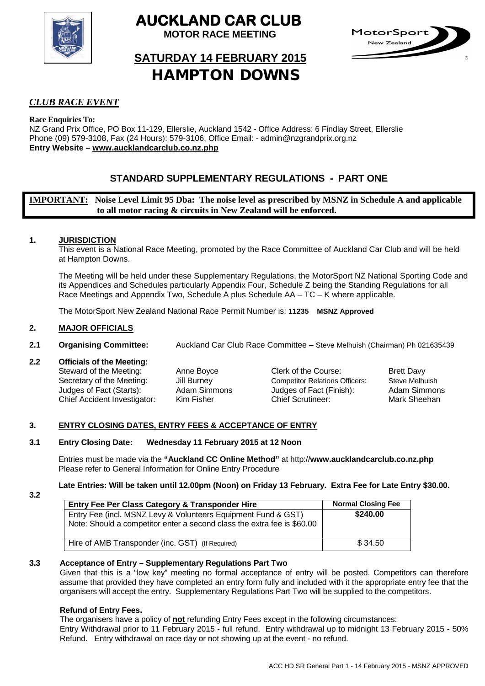

# **AUCKLAND CAR CLUB**

**MOTOR RACE MEETING**



# **SATURDAY 14 FEBRUARY 2015**  HAMPTON DOWNS

# *CLUB RACE EVENT*

**Race Enquiries To:**

NZ Grand Prix Office, PO Box 11-129, Ellerslie, Auckland 1542 - Office Address: 6 Findlay Street, Ellerslie Phone (09) 579-3108, Fax (24 Hours): 579-3106, Office Email: - admin@nzgrandprix.org.nz **Entry Website – www.aucklandcarclub.co.nz.php**

# **STANDARD SUPPLEMENTARY REGULATIONS - PART ONE**

**IMPORTANT: Noise Level Limit 95 Dba: The noise level as prescribed by MSNZ in Schedule A and applicable to all motor racing & circuits in New Zealand will be enforced.**

# **1. JURISDICTION**

This event is a National Race Meeting, promoted by the Race Committee of Auckland Car Club and will be held at Hampton Downs.

The Meeting will be held under these Supplementary Regulations, the MotorSport NZ National Sporting Code and its Appendices and Schedules particularly Appendix Four, Schedule Z being the Standing Regulations for all Race Meetings and Appendix Two, Schedule A plus Schedule AA – TC – K where applicable.

The MotorSport New Zealand National Race Permit Number is: **11235 MSNZ Approved**

# **2. MAJOR OFFICIALS**

**2.1 Organising Committee:** Auckland Car Club Race Committee – Steve Melhuish (Chairman) Ph 021635439

# **2.2 Officials of the Meeting:**

Steward of the Meeting:<br>
Secretary of the Meeting: 
Unit Burney<br>
Competitor Relations Officers: Steve Melhuish<br>
Steve Melhuish Secretary of the Meeting: Jill Burney Competitor Relations Officers: Steve Melhuish<br>
Judges of Fact (Starts): Adam Simmons Judges of Fact (Finish): Adam Simmons Chief Accident Investigator: Kim Fisher Chief Scrutineer: Mark Sheehan

Judges of Fact (Finish):

# **3. ENTRY CLOSING DATES, ENTRY FEES & ACCEPTANCE OF ENTRY**

# **3.1 Entry Closing Date: Wednesday 11 February 2015 at 12 Noon**

Entries must be made via the **"Auckland CC Online Method"** at http://**www.aucklandcarclub.co.nz.php** Please refer to General Information for Online Entry Procedure

# **Late Entries: Will be taken until 12.00pm (Noon) on Friday 13 February. Extra Fee for Late Entry \$30.00.**

**3.2** 

| Entry Fee Per Class Category & Transponder Hire                                                                                          | <b>Normal Closing Fee</b> |
|------------------------------------------------------------------------------------------------------------------------------------------|---------------------------|
| Entry Fee (incl. MSNZ Levy & Volunteers Equipment Fund & GST)<br>Note: Should a competitor enter a second class the extra fee is \$60.00 | \$240.00                  |
| Hire of AMB Transponder (inc. GST) (If Required)                                                                                         | \$34.50                   |

# **3.3 Acceptance of Entry – Supplementary Regulations Part Two**

Given that this is a "low key" meeting no formal acceptance of entry will be posted. Competitors can therefore assume that provided they have completed an entry form fully and included with it the appropriate entry fee that the organisers will accept the entry. Supplementary Regulations Part Two will be supplied to the competitors.

# **Refund of Entry Fees.**

The organisers have a policy of **not** refunding Entry Fees except in the following circumstances:

Entry Withdrawal prior to 11 February 2015 - full refund. Entry withdrawal up to midnight 13 February 2015 - 50% Refund. Entry withdrawal on race day or not showing up at the event - no refund.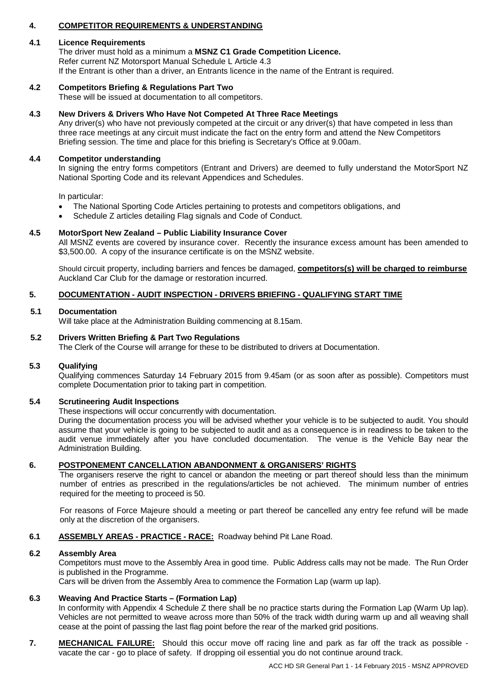# **4. COMPETITOR REQUIREMENTS & UNDERSTANDING**

#### **4.1 Licence Requirements**

The driver must hold as a minimum a **MSNZ C1 Grade Competition Licence.** Refer current NZ Motorsport Manual Schedule L Article 4.3 If the Entrant is other than a driver, an Entrants licence in the name of the Entrant is required.

## **4.2 Competitors Briefing & Regulations Part Two**

These will be issued at documentation to all competitors.

## **4.3 New Drivers & Drivers Who Have Not Competed At Three Race Meetings**

Any driver(s) who have not previously competed at the circuit or any driver(s) that have competed in less than three race meetings at any circuit must indicate the fact on the entry form and attend the New Competitors Briefing session. The time and place for this briefing is Secretary's Office at 9.00am.

## **4.4 Competitor understanding**

In signing the entry forms competitors (Entrant and Drivers) are deemed to fully understand the MotorSport NZ National Sporting Code and its relevant Appendices and Schedules.

In particular:

- The National Sporting Code Articles pertaining to protests and competitors obligations, and
- Schedule Z articles detailing Flag signals and Code of Conduct.

## **4.5 MotorSport New Zealand – Public Liability Insurance Cover**

All MSNZ events are covered by insurance cover. Recently the insurance excess amount has been amended to \$3,500.00. A copy of the insurance certificate is on the MSNZ website.

Should circuit property, including barriers and fences be damaged, **competitors(s) will be charged to reimburse** Auckland Car Club for the damage or restoration incurred.

# **5. DOCUMENTATION - AUDIT INSPECTION - DRIVERS BRIEFING - QUALIFYING START TIME**

#### **5.1 Documentation**

Will take place at the Administration Building commencing at 8.15am.

## **5.2 Drivers Written Briefing & Part Two Regulations**

The Clerk of the Course will arrange for these to be distributed to drivers at Documentation.

# **5.3 Qualifying**

Qualifying commences Saturday 14 February 2015 from 9.45am (or as soon after as possible). Competitors must complete Documentation prior to taking part in competition.

#### **5.4 Scrutineering Audit Inspections**

These inspections will occur concurrently with documentation.

During the documentation process you will be advised whether your vehicle is to be subjected to audit. You should assume that your vehicle is going to be subjected to audit and as a consequence is in readiness to be taken to the audit venue immediately after you have concluded documentation. The venue is the Vehicle Bay near the Administration Building.

# **6. POSTPONEMENT CANCELLATION ABANDONMENT & ORGANISERS' RIGHTS**

The organisers reserve the right to cancel or abandon the meeting or part thereof should less than the minimum number of entries as prescribed in the regulations/articles be not achieved. The minimum number of entries required for the meeting to proceed is 50.

For reasons of Force Majeure should a meeting or part thereof be cancelled any entry fee refund will be made only at the discretion of the organisers.

# **6.1 ASSEMBLY AREAS - PRACTICE - RACE:** Roadway behind Pit Lane Road.

#### **6.2 Assembly Area**

Competitors must move to the Assembly Area in good time. Public Address calls may not be made. The Run Order is published in the Programme.

Cars will be driven from the Assembly Area to commence the Formation Lap (warm up lap).

#### **6.3 Weaving And Practice Starts – (Formation Lap)**

In conformity with Appendix 4 Schedule Z there shall be no practice starts during the Formation Lap (Warm Up lap). Vehicles are not permitted to weave across more than 50% of the track width during warm up and all weaving shall cease at the point of passing the last flag point before the rear of the marked grid positions.

**7. MECHANICAL FAILURE:** Should this occur move off racing line and park as far off the track as possible vacate the car - go to place of safety. If dropping oil essential you do not continue around track.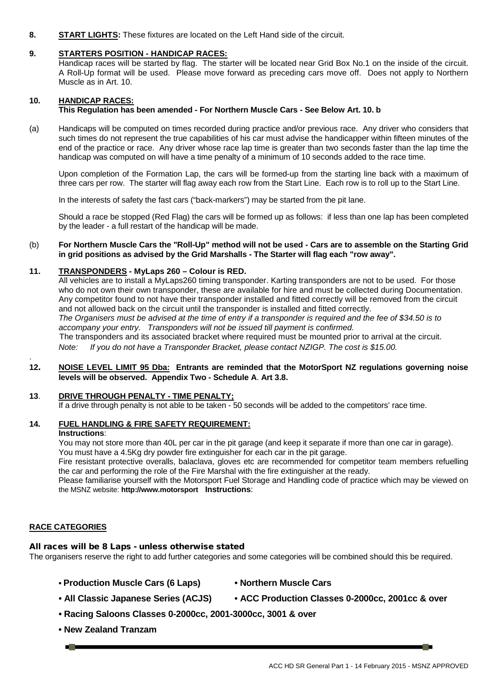**8. START LIGHTS:** These fixtures are located on the Left Hand side of the circuit.

# **9. STARTERS POSITION - HANDICAP RACES:**

Handicap races will be started by flag. The starter will be located near Grid Box No.1 on the inside of the circuit. A Roll-Up format will be used. Please move forward as preceding cars move off. Does not apply to Northern Muscle as in Art. 10.

# **10. HANDICAP RACES:**

#### **This Regulation has been amended - For Northern Muscle Cars - See Below Art. 10. b**

(a) Handicaps will be computed on times recorded during practice and/or previous race. Any driver who considers that such times do not represent the true capabilities of his car must advise the handicapper within fifteen minutes of the end of the practice or race. Any driver whose race lap time is greater than two seconds faster than the lap time the handicap was computed on will have a time penalty of a minimum of 10 seconds added to the race time.

Upon completion of the Formation Lap, the cars will be formed-up from the starting line back with a maximum of three cars per row. The starter will flag away each row from the Start Line. Each row is to roll up to the Start Line.

In the interests of safety the fast cars ("back-markers") may be started from the pit lane.

Should a race be stopped (Red Flag) the cars will be formed up as follows: if less than one lap has been completed by the leader - a full restart of the handicap will be made.

#### (b) **For Northern Muscle Cars the "Roll-Up" method will not be used - Cars are to assemble on the Starting Grid in grid positions as advised by the Grid Marshalls - The Starter will flag each "row away".**

#### **11. TRANSPONDERS - MyLaps 260 – Colour is RED.**

All vehicles are to install a MyLaps260 timing transponder. Karting transponders are not to be used. For those who do not own their own transponder, these are available for hire and must be collected during Documentation. Any competitor found to not have their transponder installed and fitted correctly will be removed from the circuit and not allowed back on the circuit until the transponder is installed and fitted correctly. *The Organisers must be advised at the time of entry if a transponder is required and the fee of \$34.50 is to accompany your entry. Transponders will not be issued till payment is confirmed.* The transponders and its associated bracket where required must be mounted prior to arrival at the circuit. *Note: If you do not have a Transponder Bracket, please contact NZIGP. The cost is \$15.00.*

#### **12. NOISE LEVEL LIMIT 95 Dba: Entrants are reminded that the MotorSport NZ regulations governing noise levels will be observed. Appendix Two - Schedule A**. **Art 3.8.**

## **13**. **DRIVE THROUGH PENALTY - TIME PENALTY;**

If a drive through penalty is not able to be taken - 50 seconds will be added to the competitors' race time.

# **14. FUEL HANDLING & FIRE SAFETY REQUIREMENT:**

#### **Instructions**:

.

You may not store more than 40L per car in the pit garage (and keep it separate if more than one car in garage). You must have a 4.5Kg dry powder fire extinguisher for each car in the pit garage.

Fire resistant protective overalls, balaclava, gloves etc are recommended for competitor team members refuelling the car and performing the role of the Fire Marshal with the fire extinguisher at the ready.

Please familiarise yourself with the Motorsport Fuel Storage and Handling code of practice which may be viewed on the MSNZ website: **http://www.motorsport Instructions**:

# **RACE CATEGORIES**

#### All races will be 8 Laps - unless otherwise stated

The organisers reserve the right to add further categories and some categories will be combined should this be required.

**• Production Muscle Cars (6 Laps) • Northern Muscle Cars**

- 
- **All Classic Japanese Series (ACJS) ACC Production Classes 0-2000cc, 2001cc & over**
- **• Racing Saloons Classes 0-2000cc, 2001-3000cc, 3001 & over**
- **• New Zealand Tranzam**